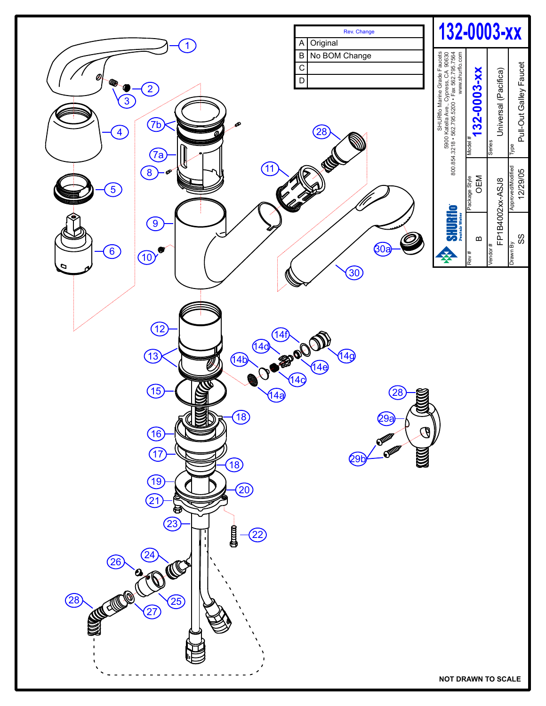